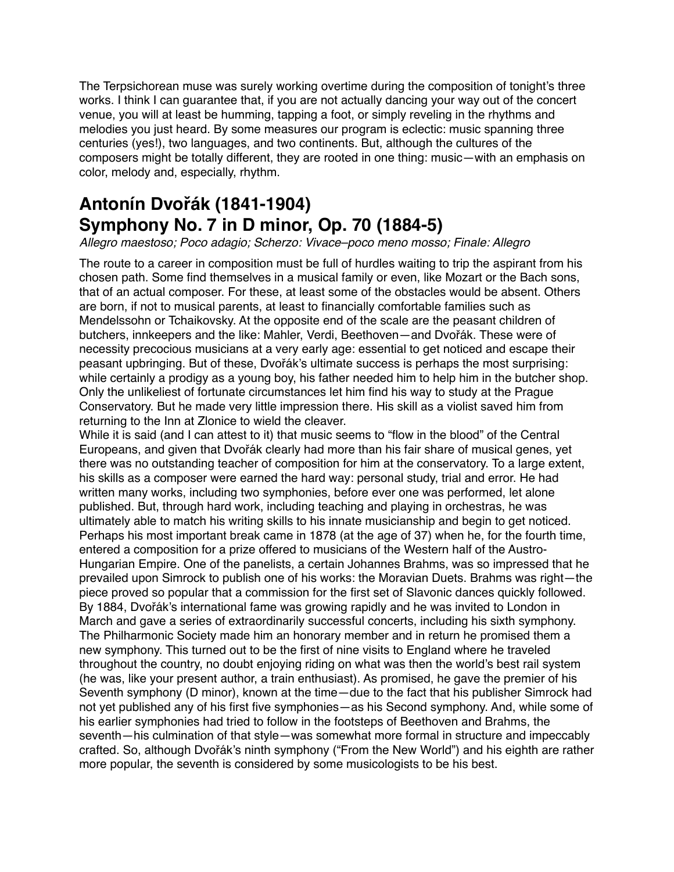The Terpsichorean muse was surely working overtime during the composition of tonight's three works. I think I can guarantee that, if you are not actually dancing your way out of the concert venue, you will at least be humming, tapping a foot, or simply reveling in the rhythms and melodies you just heard. By some measures our program is eclectic: music spanning three centuries (yes!), two languages, and two continents. But, although the cultures of the composers might be totally different, they are rooted in one thing: music—with an emphasis on color, melody and, especially, rhythm.

## **Antonín Dvořák (1841-1904) Symphony No. 7 in D minor, Op. 70 (1884-5)**

*[Allegro](https://en.wikipedia.org/wiki/Allegro_(music)) maestoso; [Poco adagio](https://en.wikipedia.org/wiki/Adagio_(music)); [Scherzo:](https://en.wikipedia.org/wiki/Scherzo) Vivace–poco meno mosso; Finale: [Allegro](https://en.wikipedia.org/wiki/Allegro_(music))*

The route to a career in composition must be full of hurdles waiting to trip the aspirant from his chosen path. Some find themselves in a musical family or even, like Mozart or the Bach sons, that of an actual composer. For these, at least some of the obstacles would be absent. Others are born, if not to musical parents, at least to financially comfortable families such as Mendelssohn or Tchaikovsky. At the opposite end of the scale are the peasant children of butchers, innkeepers and the like: Mahler, Verdi, Beethoven—and Dvořák. These were of necessity precocious musicians at a very early age: essential to get noticed and escape their peasant upbringing. But of these, Dvořák's ultimate success is perhaps the most surprising: while certainly a prodigy as a young boy, his father needed him to help him in the butcher shop. Only the unlikeliest of fortunate circumstances let him find his way to study at the Prague Conservatory. But he made very little impression there. His skill as a violist saved him from returning to the Inn at Zlonice to wield the cleaver.

While it is said (and I can attest to it) that music seems to "flow in the blood" of the Central Europeans, and given that Dvořák clearly had more than his fair share of musical genes, yet there was no outstanding teacher of composition for him at the conservatory. To a large extent, his skills as a composer were earned the hard way: personal study, trial and error. He had written many works, including two symphonies, before ever one was performed, let alone published. But, through hard work, including teaching and playing in orchestras, he was ultimately able to match his writing skills to his innate musicianship and begin to get noticed. Perhaps his most important break came in 1878 (at the age of 37) when he, for the fourth time, entered a composition for a prize offered to musicians of the Western half of the Austro-Hungarian Empire. One of the panelists, a certain Johannes Brahms, was so impressed that he prevailed upon Simrock to publish one of his works: the Moravian Duets. Brahms was right—the piece proved so popular that a commission for the first set of Slavonic dances quickly followed. By 1884, Dvořák's international fame was growing rapidly and he was invited to London in March and gave a series of extraordinarily successful concerts, including his sixth symphony. The Philharmonic Society made him an honorary member and in return he promised them a new symphony. This turned out to be the first of nine visits to England where he traveled throughout the country, no doubt enjoying riding on what was then the world's best rail system (he was, like your present author, a train enthusiast). As promised, he gave the premier of his Seventh symphony (D minor), known at the time—due to the fact that his publisher Simrock had not yet published any of his first five symphonies—as his Second symphony. And, while some of his earlier symphonies had tried to follow in the footsteps of Beethoven and Brahms, the seventh—his culmination of that style—was somewhat more formal in structure and impeccably crafted. So, although Dvořák's ninth symphony ("From the New World") and his eighth are rather more popular, the seventh is considered by some musicologists to be his best.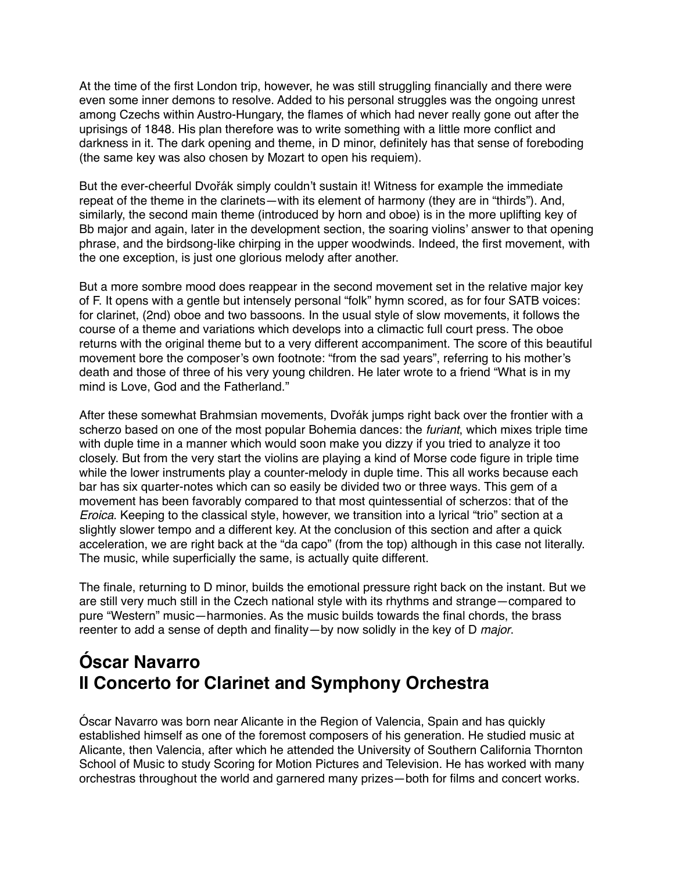At the time of the first London trip, however, he was still struggling financially and there were even some inner demons to resolve. Added to his personal struggles was the ongoing unrest among Czechs within Austro-Hungary, the flames of which had never really gone out after the uprisings of 1848. His plan therefore was to write something with a little more conflict and darkness in it. The dark opening and theme, in D minor, definitely has that sense of foreboding (the same key was also chosen by Mozart to open his requiem).

But the ever-cheerful Dvořák simply couldn't sustain it! Witness for example the immediate repeat of the theme in the clarinets—with its element of harmony (they are in "thirds"). And, similarly, the second main theme (introduced by horn and oboe) is in the more uplifting key of Bb major and again, later in the development section, the soaring violins' answer to that opening phrase, and the birdsong-like chirping in the upper woodwinds. Indeed, the first movement, with the one exception, is just one glorious melody after another.

But a more sombre mood does reappear in the second movement set in the relative major key of F. It opens with a gentle but intensely personal "folk" hymn scored, as for four SATB voices: for clarinet, (2nd) oboe and two bassoons. In the usual style of slow movements, it follows the course of a theme and variations which develops into a climactic full court press. The oboe returns with the original theme but to a very different accompaniment. The score of this beautiful movement bore the composer's own footnote: "from the sad years", referring to his mother's death and those of three of his very young children. He later wrote to a friend "What is in my mind is Love, God and the Fatherland."

After these somewhat Brahmsian movements, Dvořák jumps right back over the frontier with a scherzo based on one of the most popular Bohemia dances: the *furiant*, which mixes triple time with duple time in a manner which would soon make you dizzy if you tried to analyze it too closely. But from the very start the violins are playing a kind of Morse code figure in triple time while the lower instruments play a counter-melody in duple time. This all works because each bar has six quarter-notes which can so easily be divided two or three ways. This gem of a movement has been favorably compared to that most quintessential of scherzos: that of the *Eroica*. Keeping to the classical style, however, we transition into a lyrical "trio" section at a slightly slower tempo and a different key. At the conclusion of this section and after a quick acceleration, we are right back at the "da capo" (from the top) although in this case not literally. The music, while superficially the same, is actually quite different.

The finale, returning to D minor, builds the emotional pressure right back on the instant. But we are still very much still in the Czech national style with its rhythms and strange—compared to pure "Western" music—harmonies. As the music builds towards the final chords, the brass reenter to add a sense of depth and finality—by now solidly in the key of D *major*.

## **Óscar Navarro II Concerto for Clarinet and Symphony Orchestra**

Óscar Navarro was born near Alicante in the Region of Valencia, Spain and has quickly established himself as one of the foremost composers of his generation. He studied music at Alicante, then Valencia, after which he attended the University of Southern California Thornton School of Music to study Scoring for Motion Pictures and Television. He has worked with many orchestras throughout the world and garnered many prizes—both for films and concert works.